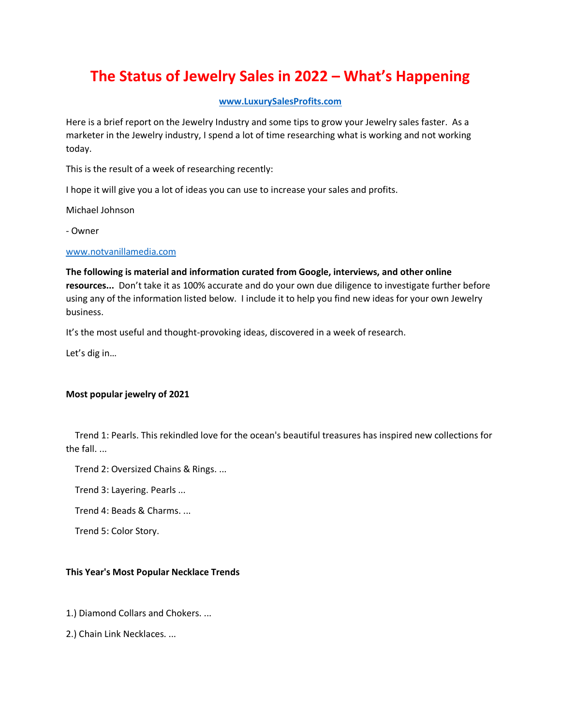# **The Status of Jewelry Sales in 2022 – What's Happening**

## **[www.LuxurySalesProfits.com](http://www.luxurysalesprofits.com/)**

Here is a brief report on the Jewelry Industry and some tips to grow your Jewelry sales faster. As a marketer in the Jewelry industry, I spend a lot of time researching what is working and not working today.

This is the result of a week of researching recently:

I hope it will give you a lot of ideas you can use to increase your sales and profits.

Michael Johnson

- Owner

### [www.notvanillamedia.com](http://www.notvanillamedia.com/)

**The following is material and information curated from Google, interviews, and other online resources...** Don't take it as 100% accurate and do your own due diligence to investigate further before using any of the information listed below. I include it to help you find new ideas for your own Jewelry business.

It's the most useful and thought-provoking ideas, discovered in a week of research.

Let's dig in…

## **Most popular jewelry of 2021**

 Trend 1: Pearls. This rekindled love for the ocean's beautiful treasures has inspired new collections for the fall. ...

Trend 2: Oversized Chains & Rings. ...

Trend 3: Layering. Pearls ...

Trend 4: Beads & Charms. ...

Trend 5: Color Story.

## **This Year's Most Popular Necklace Trends**

1.) Diamond Collars and Chokers. ...

2.) Chain Link Necklaces. ...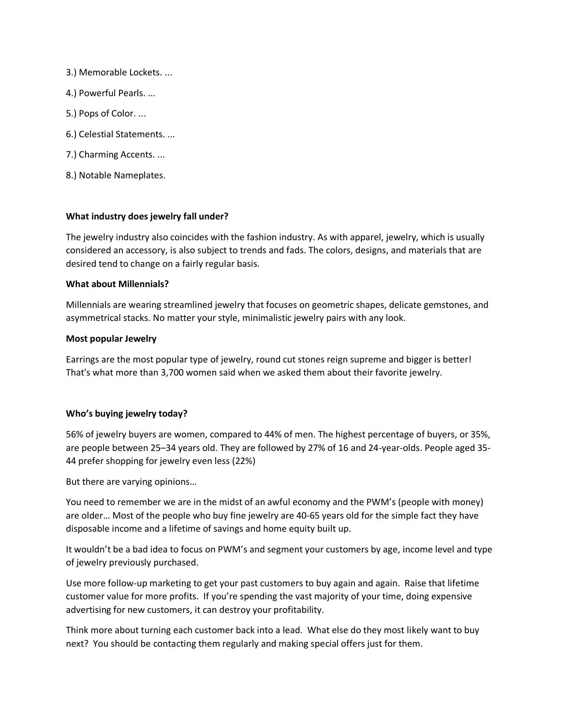- 3.) Memorable Lockets. ...
- 4.) Powerful Pearls. ...
- 5.) Pops of Color. ...
- 6.) Celestial Statements. ...
- 7.) Charming Accents. ...
- 8.) Notable Nameplates.

# **What industry does jewelry fall under?**

The jewelry industry also coincides with the fashion industry. As with apparel, jewelry, which is usually considered an accessory, is also subject to trends and fads. The colors, designs, and materials that are desired tend to change on a fairly regular basis.

## **What about Millennials?**

Millennials are wearing streamlined jewelry that focuses on geometric shapes, delicate gemstones, and asymmetrical stacks. No matter your style, minimalistic jewelry pairs with any look.

### **Most popular Jewelry**

Earrings are the most popular type of jewelry, round cut stones reign supreme and bigger is better! That's what more than 3,700 women said when we asked them about their favorite jewelry.

## **Who's buying jewelry today?**

56% of jewelry buyers are women, compared to 44% of men. The highest percentage of buyers, or 35%, are people between 25–34 years old. They are followed by 27% of 16 and 24-year-olds. People aged 35- 44 prefer shopping for jewelry even less (22%)

But there are varying opinions…

You need to remember we are in the midst of an awful economy and the PWM's (people with money) are older… Most of the people who buy fine jewelry are 40-65 years old for the simple fact they have disposable income and a lifetime of savings and home equity built up.

It wouldn't be a bad idea to focus on PWM's and segment your customers by age, income level and type of jewelry previously purchased.

Use more follow-up marketing to get your past customers to buy again and again. Raise that lifetime customer value for more profits. If you're spending the vast majority of your time, doing expensive advertising for new customers, it can destroy your profitability.

Think more about turning each customer back into a lead. What else do they most likely want to buy next? You should be contacting them regularly and making special offers just for them.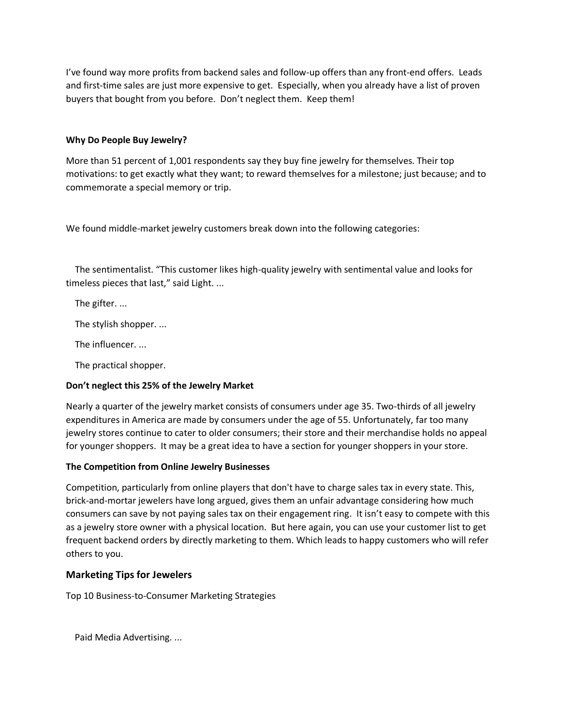I've found way more profits from backend sales and follow-up offers than any front-end offers. Leads and first-time sales are just more expensive to get. Especially, when you already have a list of proven buyers that bought from you before. Don't neglect them. Keep them!

# **Why Do People Buy Jewelry?**

More than 51 percent of 1,001 respondents say they buy fine jewelry for themselves. Their top motivations: to get exactly what they want; to reward themselves for a milestone; just because; and to commemorate a special memory or trip.

We found middle-market jewelry customers break down into the following categories:

 The sentimentalist. "This customer likes high-quality jewelry with sentimental value and looks for timeless pieces that last," said Light. ...

The gifter. ...

The stylish shopper. ...

The influencer. ...

The practical shopper.

## **Don't neglect this 25% of the Jewelry Market**

Nearly a quarter of the jewelry market consists of consumers under age 35. Two-thirds of all jewelry expenditures in America are made by consumers under the age of 55. Unfortunately, far too many jewelry stores continue to cater to older consumers; their store and their merchandise holds no appeal for younger shoppers. It may be a great idea to have a section for younger shoppers in your store.

## **The Competition from Online Jewelry Businesses**

Competition, particularly from online players that don't have to charge sales tax in every state. This, brick-and-mortar jewelers have long argued, gives them an unfair advantage considering how much consumers can save by not paying sales tax on their engagement ring. It isn't easy to compete with this as a jewelry store owner with a physical location. But here again, you can use your customer list to get frequent backend orders by directly marketing to them. Which leads to happy customers who will refer others to you.

# **Marketing Tips for Jewelers**

Top 10 Business-to-Consumer Marketing Strategies

Paid Media Advertising. ...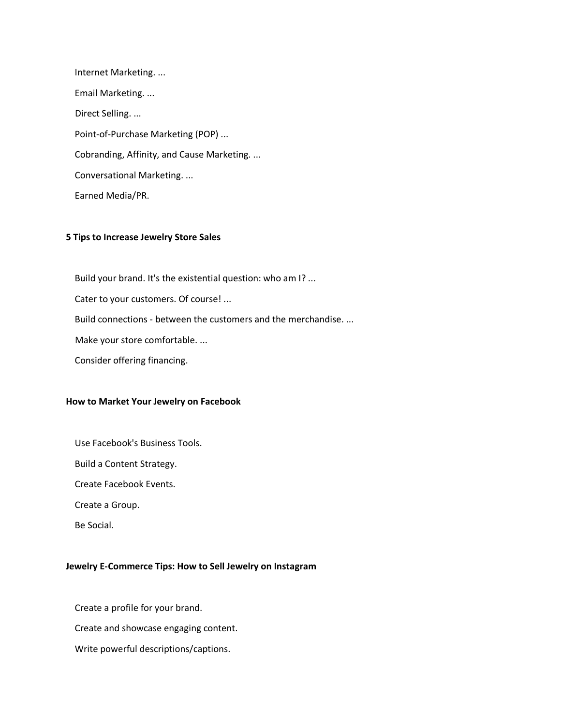Internet Marketing. ... Email Marketing. ... Direct Selling. ... Point-of-Purchase Marketing (POP) ... Cobranding, Affinity, and Cause Marketing. ... Conversational Marketing. ... Earned Media/PR.

#### **5 Tips to Increase Jewelry Store Sales**

Build your brand. It's the existential question: who am I? ...

Cater to your customers. Of course! ...

Build connections - between the customers and the merchandise. ...

Make your store comfortable. ...

Consider offering financing.

#### **How to Market Your Jewelry on Facebook**

Use Facebook's Business Tools.

Build a Content Strategy.

Create Facebook Events.

Create a Group.

Be Social.

#### **Jewelry E-Commerce Tips: How to Sell Jewelry on Instagram**

Create a profile for your brand.

Create and showcase engaging content.

Write powerful descriptions/captions.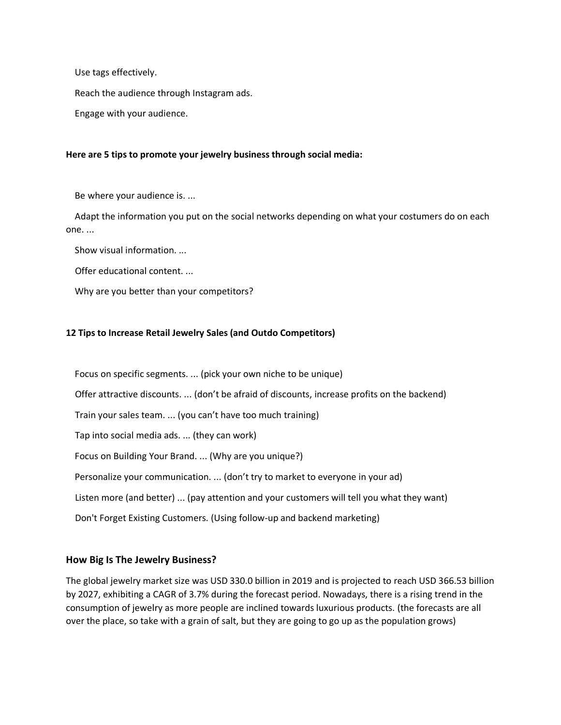Use tags effectively.

Reach the audience through Instagram ads.

Engage with your audience.

#### **Here are 5 tips to promote your jewelry business through social media:**

Be where your audience is. ...

 Adapt the information you put on the social networks depending on what your costumers do on each one. ...

Show visual information. ...

Offer educational content. ...

Why are you better than your competitors?

## **12 Tips to Increase Retail Jewelry Sales (and Outdo Competitors)**

 Focus on specific segments. ... (pick your own niche to be unique) Offer attractive discounts. ... (don't be afraid of discounts, increase profits on the backend) Train your sales team. ... (you can't have too much training) Tap into social media ads. ... (they can work) Focus on Building Your Brand. ... (Why are you unique?) Personalize your communication. ... (don't try to market to everyone in your ad) Listen more (and better) ... (pay attention and your customers will tell you what they want) Don't Forget Existing Customers. (Using follow-up and backend marketing)

## **How Big Is The Jewelry Business?**

The global jewelry market size was USD 330.0 billion in 2019 and is projected to reach USD 366.53 billion by 2027, exhibiting a CAGR of 3.7% during the forecast period. Nowadays, there is a rising trend in the consumption of jewelry as more people are inclined towards luxurious products. (the forecasts are all over the place, so take with a grain of salt, but they are going to go up as the population grows)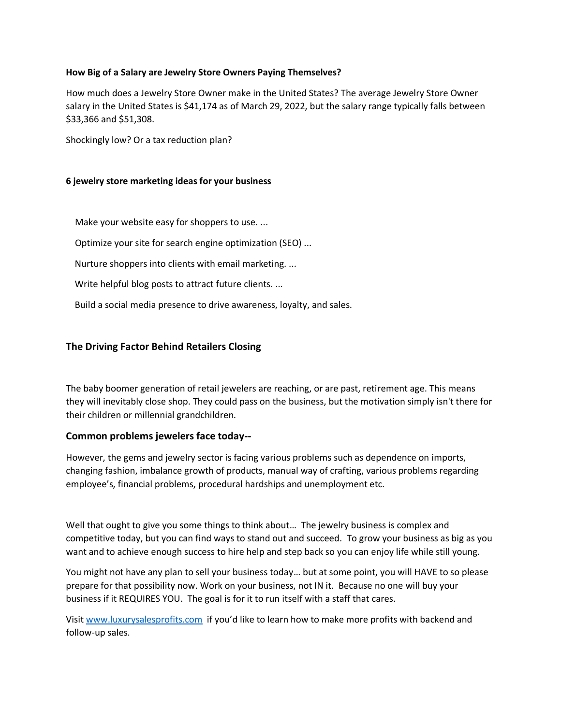## **How Big of a Salary are Jewelry Store Owners Paying Themselves?**

How much does a Jewelry Store Owner make in the United States? The average Jewelry Store Owner salary in the United States is \$41,174 as of March 29, 2022, but the salary range typically falls between \$33,366 and \$51,308.

Shockingly low? Or a tax reduction plan?

### **6 jewelry store marketing ideas for your business**

Make your website easy for shoppers to use. ...

Optimize your site for search engine optimization (SEO) ...

Nurture shoppers into clients with email marketing. ...

Write helpful blog posts to attract future clients. ...

Build a social media presence to drive awareness, loyalty, and sales.

## **The Driving Factor Behind Retailers Closing**

The baby boomer generation of retail jewelers are reaching, or are past, retirement age. This means they will inevitably close shop. They could pass on the business, but the motivation simply isn't there for their children or millennial grandchildren.

## **Common problems jewelers face today--**

However, the gems and jewelry sector is facing various problems such as dependence on imports, changing fashion, imbalance growth of products, manual way of crafting, various problems regarding employee's, financial problems, procedural hardships and unemployment etc.

Well that ought to give you some things to think about... The jewelry business is complex and competitive today, but you can find ways to stand out and succeed. To grow your business as big as you want and to achieve enough success to hire help and step back so you can enjoy life while still young.

You might not have any plan to sell your business today… but at some point, you will HAVE to so please prepare for that possibility now. Work on your business, not IN it. Because no one will buy your business if it REQUIRES YOU. The goal is for it to run itself with a staff that cares.

Visit [www.luxurysalesprofits.com](http://www.luxurysalesprofits.com/) if you'd like to learn how to make more profits with backend and follow-up sales.